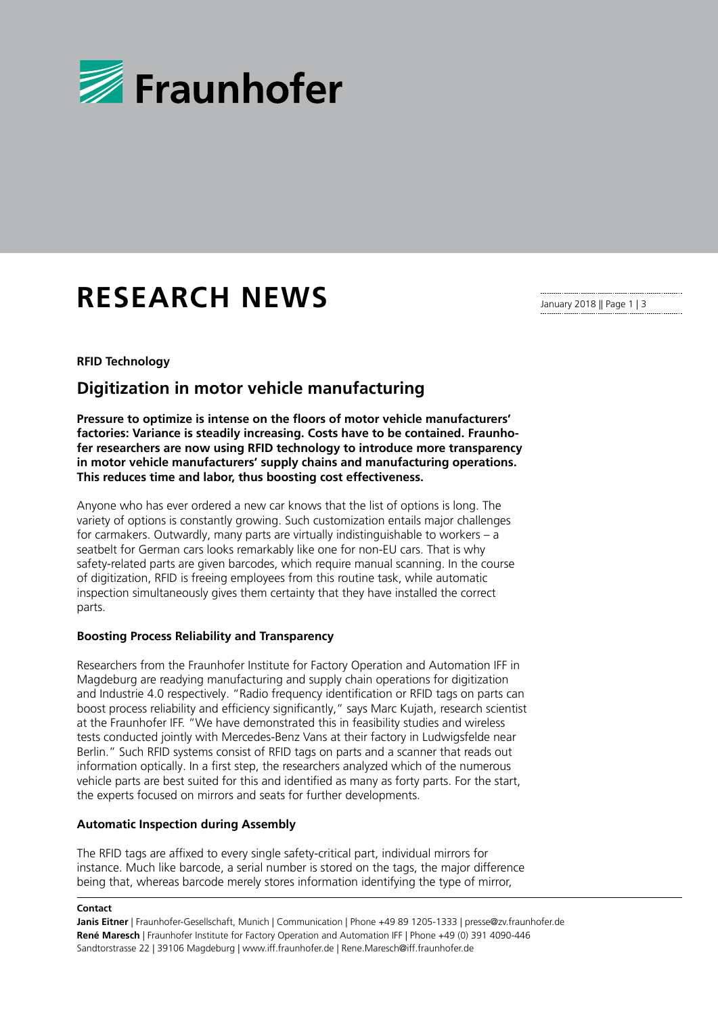

# **RESEARCH NEWS**

January 2018 || Page 1 | 3

### **RFID Technology**

## **Digitization in motor vehicle manufacturing**

**Pressure to optimize is intense on the floors of motor vehicle manufacturers' factories: Variance is steadily increasing. Costs have to be contained. Fraunhofer researchers are now using RFID technology to introduce more transparency in motor vehicle manufacturers' supply chains and manufacturing operations. This reduces time and labor, thus boosting cost effectiveness.** 

Anyone who has ever ordered a new car knows that the list of options is long. The variety of options is constantly growing. Such customization entails major challenges for carmakers. Outwardly, many parts are virtually indistinguishable to workers – a seatbelt for German cars looks remarkably like one for non-EU cars. That is why safety-related parts are given barcodes, which require manual scanning. In the course of digitization, RFID is freeing employees from this routine task, while automatic inspection simultaneously gives them certainty that they have installed the correct parts.

#### **Boosting Process Reliability and Transparency**

Researchers from the Fraunhofer Institute for Factory Operation and Automation IFF in Magdeburg are readying manufacturing and supply chain operations for digitization and Industrie 4.0 respectively. "Radio frequency identification or RFID tags on parts can boost process reliability and efficiency significantly," says Marc Kujath, research scientist at the Fraunhofer IFF. "We have demonstrated this in feasibility studies and wireless tests conducted jointly with Mercedes-Benz Vans at their factory in Ludwigsfelde near Berlin." Such RFID systems consist of RFID tags on parts and a scanner that reads out information optically. In a first step, the researchers analyzed which of the numerous vehicle parts are best suited for this and identified as many as forty parts. For the start, the experts focused on mirrors and seats for further developments.

#### **Automatic Inspection during Assembly**

The RFID tags are affixed to every single safety-critical part, individual mirrors for instance. Much like barcode, a serial number is stored on the tags, the major difference being that, whereas barcode merely stores information identifying the type of mirror,

#### **Contact**

**Janis Eitner** | Fraunhofer-Gesellschaft, Munich | Communication | Phone +49 89 1205-1333 | presse@zv.fraunhofer.de **René Maresch** | Fraunhofer Institute for Factory Operation and Automation IFF | Phone +49 (0) 391 4090-446 Sandtorstrasse 22 | 39106 Magdeburg | www.iff.fraunhofer.de | Rene.Maresch@iff.fraunhofer.de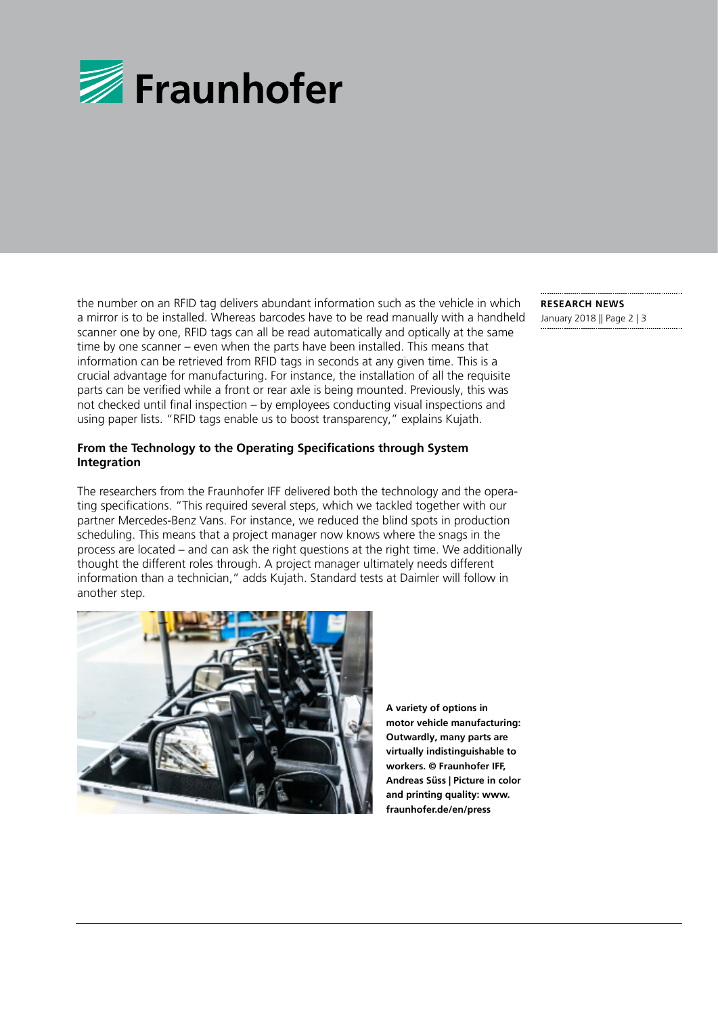

the number on an RFID tag delivers abundant information such as the vehicle in which a mirror is to be installed. Whereas barcodes have to be read manually with a handheld scanner one by one, RFID tags can all be read automatically and optically at the same time by one scanner – even when the parts have been installed. This means that information can be retrieved from RFID tags in seconds at any given time. This is a crucial advantage for manufacturing. For instance, the installation of all the requisite parts can be verified while a front or rear axle is being mounted. Previously, this was not checked until final inspection – by employees conducting visual inspections and using paper lists. "RFID tags enable us to boost transparency," explains Kujath.

#### **From the Technology to the Operating Specifications through System Integration**

The researchers from the Fraunhofer IFF delivered both the technology and the operating specifications. "This required several steps, which we tackled together with our partner Mercedes-Benz Vans. For instance, we reduced the blind spots in production scheduling. This means that a project manager now knows where the snags in the process are located – and can ask the right questions at the right time. We additionally thought the different roles through. A project manager ultimately needs different information than a technician," adds Kujath. Standard tests at Daimler will follow in another step.



**A variety of options in motor vehicle manufacturing: Outwardly, many parts are virtually indistinguishable to workers. © Fraunhofer IFF, Andreas Süss | Picture in color and printing quality: www. fraunhofer.de/en/press**

**RESEARCH NEWS**  January 2018 || Page 2 | 3